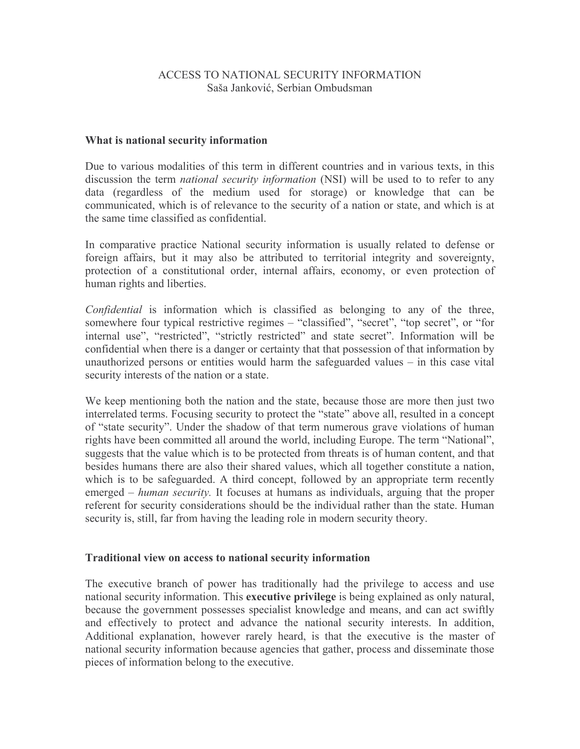# ACCESS TO NATIONAL SECURITY INFORMATION Saša Janković, Serbian Ombudsman

## What is national security information

Due to various modalities of this term in different countries and in various texts, in this discussion the term *national security information* (NSI) will be used to to refer to any data (regardless of the medium used for storage) or knowledge that can be communicated, which is of relevance to the security of a nation or state, and which is at the same time classified as confidential.

In comparative practice National security information is usually related to defense or foreign affairs, but it may also be attributed to territorial integrity and sovereignty, protection of a constitutional order, internal affairs, economy, or even protection of human rights and liberties.

*Confidential* is information which is classified as belonging to any of the three, somewhere four typical restrictive regimes – "classified", "secret", "top secret", or "for internal use", "restricted", "strictly restricted" and state secret". Information will be confidential when there is a danger or certainty that that possession of that information by unauthorized persons or entities would harm the safeguarded values  $-$  in this case vital security interests of the nation or a state.

We keep mentioning both the nation and the state, because those are more then just two interrelated terms. Focusing security to protect the "state" above all, resulted in a concept of "state security". Under the shadow of that term numerous grave violations of human rights have been committed all around the world, including Europe. The term "National", suggests that the value which is to be protected from threats is of human content, and that besides humans there are also their shared values, which all together constitute a nation, which is to be safeguarded. A third concept, followed by an appropriate term recently emerged – human security. It focuses at humans as individuals, arguing that the proper referent for security considerations should be the individual rather than the state. Human security is, still, far from having the leading role in modern security theory.

#### Traditional view on access to national security information

The executive branch of power has traditionally had the privilege to access and use national security information. This executive privilege is being explained as only natural, because the government possesses specialist knowledge and means, and can act swiftly and effectively to protect and advance the national security interests. In addition, Additional explanation, however rarely heard, is that the executive is the master of national security information because agencies that gather, process and disseminate those pieces of information belong to the executive.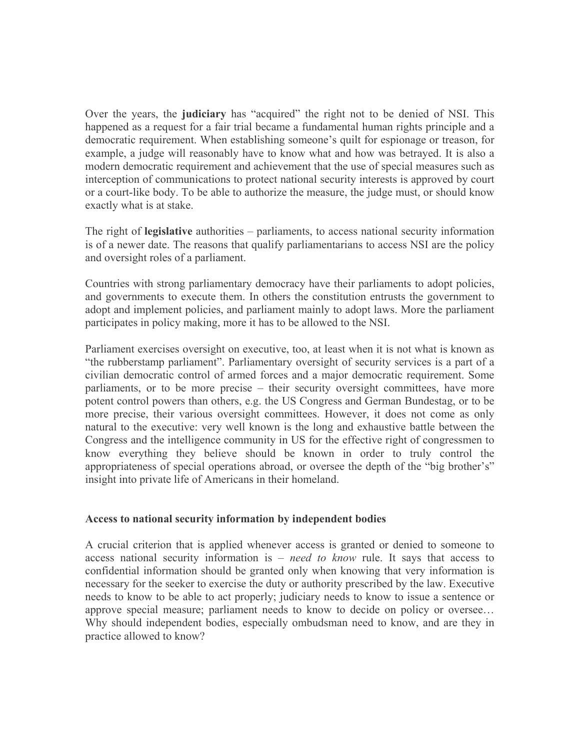Over the years, the judiciary has "acquired" the right not to be denied of NSI. This happened as a request for a fair trial became a fundamental human rights principle and a democratic requirement. When establishing someone's quilt for espionage or treason, for example, a judge will reasonably have to know what and how was betrayed. It is also a modern democratic requirement and achievement that the use of special measures such as interception of communications to protect national security interests is approved by court or a court-like body. To be able to authorize the measure, the judge must, or should know exactly what is at stake.

The right of **legislative** authorities – parliaments, to access national security information is of a newer date. The reasons that qualify parliamentarians to access NSI are the policy and oversight roles of a parliament.

Countries with strong parliamentary democracy have their parliaments to adopt policies, and governments to execute them. In others the constitution entrusts the government to adopt and implement policies, and parliament mainly to adopt laws. More the parliament participates in policy making, more it has to be allowed to the NSI.

Parliament exercises oversight on executive, too, at least when it is not what is known as "the rubberstamp parliament". Parliamentary oversight of security services is a part of a civilian democratic control of armed forces and a major democratic requirement. Some parliaments, or to be more precise – their security oversight committees, have more potent control powers than others, e.g. the US Congress and German Bundestag, or to be more precise, their various oversight committees. However, it does not come as only natural to the executive: very well known is the long and exhaustive battle between the Congress and the intelligence community in US for the effective right of congressmen to know everything they believe should be known in order to truly control the appropriateness of special operations abroad, or oversee the depth of the "big brother's" insight into private life of Americans in their homeland.

## Access to national security information by independent bodies

A crucial criterion that is applied whenever access is granted or denied to someone to access national security information is  $-$  need to know rule. It says that access to confidential information should be granted only when knowing that very information is necessary for the seeker to exercise the duty or authority prescribed by the law. Executive needs to know to be able to act properly; judiciary needs to know to issue a sentence or approve special measure; parliament needs to know to decide on policy or oversee... Why should independent bodies, especially ombudsman need to know, and are they in practice allowed to know?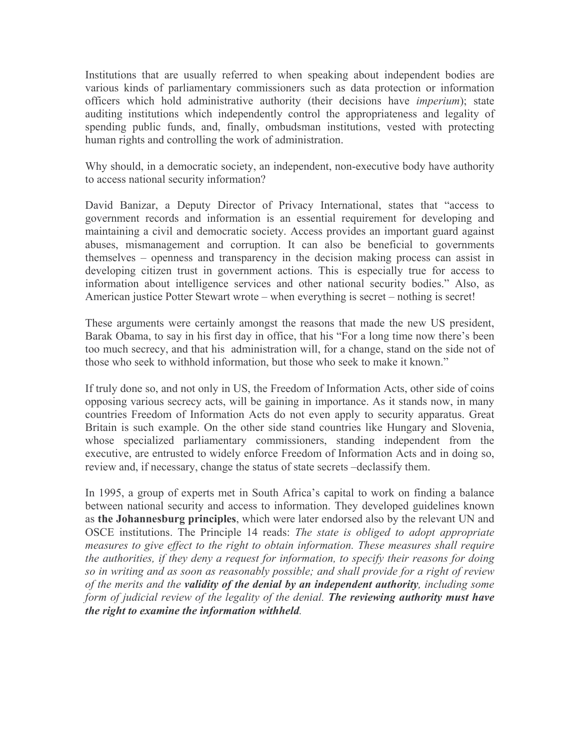Institutions that are usually referred to when speaking about independent bodies are various kinds of parliamentary commissioners such as data protection or information officers which hold administrative authority (their decisions have *imperium*); state auditing institutions which independently control the appropriateness and legality of spending public funds, and, finally, ombudsman institutions, vested with protecting human rights and controlling the work of administration.

Why should, in a democratic society, an independent, non-executive body have authority to access national security information?

David Banizar, a Deputy Director of Privacy International, states that "access to government records and information is an essential requirement for developing and maintaining a civil and democratic society. Access provides an important guard against abuses, mismanagement and corruption. It can also be beneficial to governments themselves – openness and transparency in the decision making process can assist in developing citizen trust in government actions. This is especially true for access to information about intelligence services and other national security bodies." Also, as American justice Potter Stewart wrote – when everything is secret – nothing is secret!

These arguments were certainly amongst the reasons that made the new US president, Barak Obama, to say in his first day in office, that his "For a long time now there's been too much secrecy, and that his administration will, for a change, stand on the side not of those who seek to withhold information, but those who seek to make it known."

If truly done so, and not only in US, the Freedom of Information Acts, other side of coins opposing various secrecy acts, will be gaining in importance. As it stands now, in many countries Freedom of Information Acts do not even apply to security apparatus. Great Britain is such example. On the other side stand countries like Hungary and Slovenia, whose specialized parliamentary commissioners, standing independent from the executive, are entrusted to widely enforce Freedom of Information Acts and in doing so. review and, if necessary, change the status of state secrets -declassify them.

In 1995, a group of experts met in South Africa's capital to work on finding a balance between national security and access to information. They developed guidelines known as the Johannesburg principles, which were later endorsed also by the relevant UN and OSCE institutions. The Principle 14 reads: The state is obliged to adopt appropriate measures to give effect to the right to obtain information. These measures shall require the authorities, if they deny a request for information, to specify their reasons for doing so in writing and as soon as reasonably possible; and shall provide for a right of review of the merits and the validity of the denial by an independent authority, including some form of judicial review of the legality of the denial. The reviewing authority must have the right to examine the information withheld.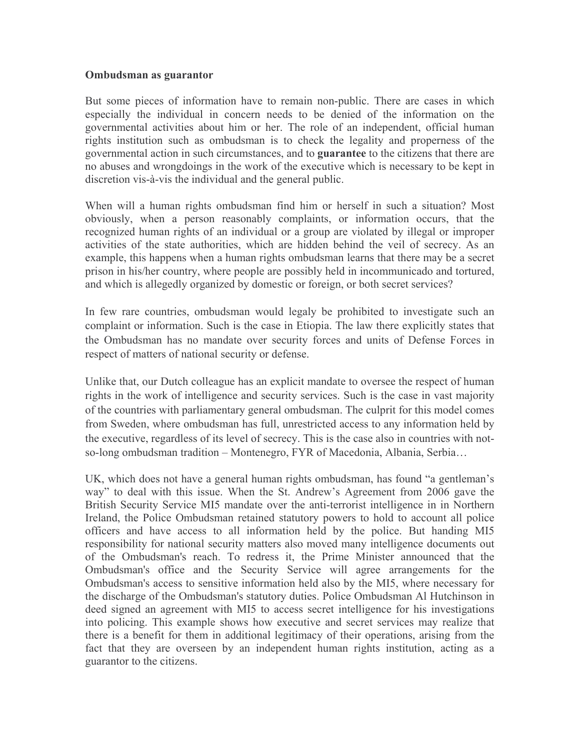## Ombudsman as guarantor

But some pieces of information have to remain non-public. There are cases in which especially the individual in concern needs to be denied of the information on the governmental activities about him or her. The role of an independent, official human rights institution such as ombudsman is to check the legality and properness of the governmental action in such circumstances, and to guarantee to the citizens that there are no abuses and wrongdoings in the work of the executive which is necessary to be kept in discretion vis-à-vis the individual and the general public.

When will a human rights ombudsman find him or herself in such a situation? Most obviously, when a person reasonably complaints, or information occurs, that the recognized human rights of an individual or a group are violated by illegal or improper activities of the state authorities, which are hidden behind the veil of secrecy. As an example, this happens when a human rights ombudsman learns that there may be a secret prison in his/her country, where people are possibly held in incommunicado and tortured, and which is allegedly organized by domestic or foreign, or both secret services?

In few rare countries, ombudsman would legaly be prohibited to investigate such an complaint or information. Such is the case in Etiopia. The law there explicitly states that the Ombudsman has no mandate over security forces and units of Defense Forces in respect of matters of national security or defense.

Unlike that, our Dutch colleague has an explicit mandate to oversee the respect of human rights in the work of intelligence and security services. Such is the case in vast majority of the countries with parliamentary general ombudsman. The culprit for this model comes from Sweden, where ombudsman has full, unrestricted access to any information held by the executive, regardless of its level of secrecy. This is the case also in countries with notso-long ombudsman tradition - Montenegro, FYR of Macedonia, Albania, Serbia...

UK, which does not have a general human rights ombudsman, has found "a gentleman's way" to deal with this issue. When the St. Andrew's Agreement from 2006 gave the British Security Service MI5 mandate over the anti-terrorist intelligence in in Northern Ireland, the Police Ombudsman retained statutory powers to hold to account all police officers and have access to all information held by the police. But handing MI5 responsibility for national security matters also moved many intelligence documents out of the Ombudsman's reach. To redress it, the Prime Minister announced that the Ombudsman's office and the Security Service will agree arrangements for the Ombudsman's access to sensitive information held also by the MI5, where necessary for the discharge of the Ombudsman's statutory duties. Police Ombudsman Al Hutchinson in deed signed an agreement with MI5 to access secret intelligence for his investigations into policing. This example shows how executive and secret services may realize that there is a benefit for them in additional legitimacy of their operations, arising from the fact that they are overseen by an independent human rights institution, acting as a guarantor to the citizens.